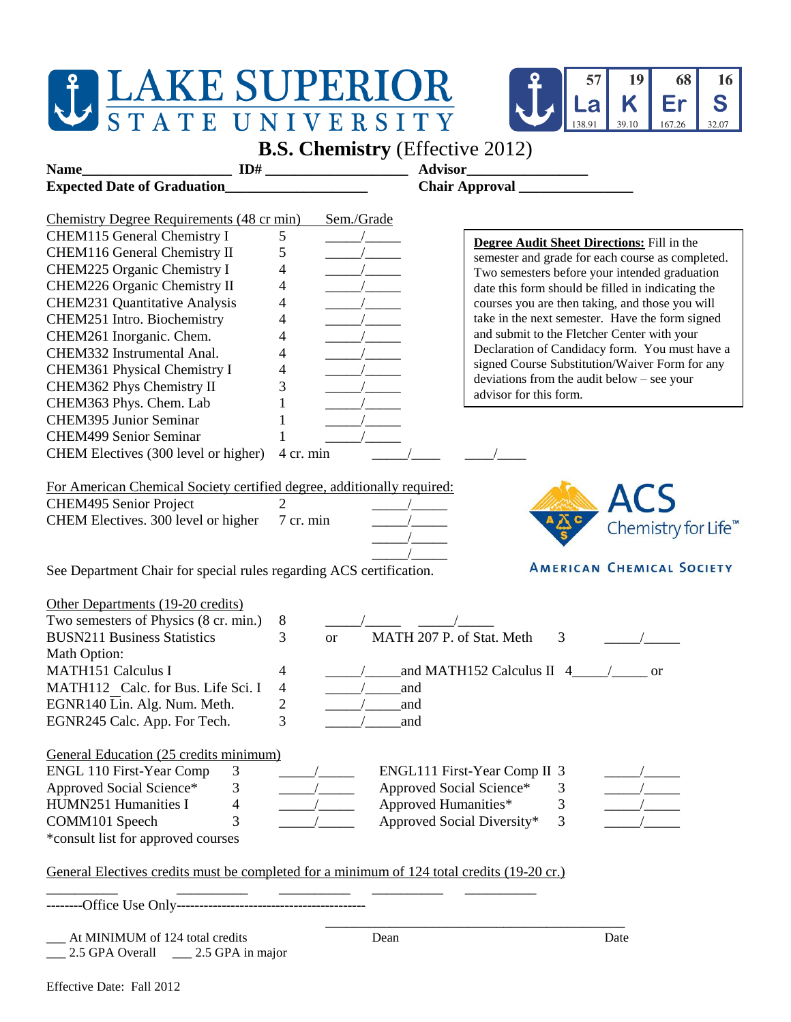## **LAKE SUPERIOR**



## **B.S. Chemistry** (Effective 2012) **Name\_\_\_\_\_\_\_\_\_\_\_\_\_\_\_\_\_\_\_\_\_ ID# \_\_\_\_\_\_\_\_\_\_\_\_\_\_\_\_\_\_\_\_ Advisor\_\_\_\_\_\_\_\_\_\_\_\_\_\_\_\_\_**

## **Expected Date of Graduation** Chair Approval Chemistry Degree Requirements (48 cr min) Sem./Grade CHEM115 General Chemistry I  $\overline{5}$   $\overline{2}$ **Degree Audit Sheet Directions:** Fill in the CHEM116 General Chemistry II 5 semester and grade for each course as completed. CHEM225 Organic Chemistry I 4 Two semesters before your intended graduation CHEM226 Organic Chemistry II 4 date this form should be filled in indicating the CHEM231 Quantitative Analysis 4 \_\_\_\_\_/\_\_\_\_\_ courses you are then taking, and those you will CHEM251 Intro. Biochemistry  $4 \frac{1}{2}$ take in the next semester. Have the form signed and submit to the Fletcher Center with your CHEM261 Inorganic. Chem. 4 Declaration of Candidacy form. You must have a CHEM332 Instrumental Anal. 4 signed Course Substitution/Waiver Form for any CHEM361 Physical Chemistry I 4 deviations from the audit below – see your CHEM362 Phys Chemistry II 3 advisor for this form.CHEM363 Phys. Chem. Lab 1 CHEM395 Junior Seminar 1 CHEM499 Senior Seminar 1 CHEM Electives  $(300 \text{ level or higher})$  4 cr. min For American Chemical Society certified degree, additionally required: CHEM495 Senior Project 2 CHEM Electives. 300 level or higher  $\frac{7 \text{ cr. min}}{2}$ Chemistry for Life<sup>™</sup>  $\overline{\phantom{a}}$  $\frac{1}{2}$ See Department Chair for special rules regarding ACS certification. **AMERICAN CHEMICAL SOCIETY** Other Departments (19-20 credits) Two semesters of Physics  $(8 \text{ cr. min.})$  8 BUSN211 Business Statistics 3 or MATH 207 P. of Stat. Meth 3 Math Option: MATH151 Calculus I 4 \_\_\_\_\_/\_\_\_\_\_and MATH152 Calculus II 4\_\_\_\_\_/\_\_\_\_\_ or MATH112 Calc. for Bus. Life Sci. I  $\quad$  4  $\qquad$  / and EGNR140 Lin. Alg. Num. Meth. 2 \_\_\_\_\_/\_\_\_\_\_and EGNR245 Calc. App. For Tech. 3 \_\_\_\_\_/\_\_\_\_\_and General Education (25 credits minimum) ENGL 110 First-Year Comp 3 \_\_\_\_\_\_\_\_\_\_\_\_\_\_\_\_ ENGL111 First-Year Comp II 3 Approved Social Science\* 3 \_\_\_\_\_\_\_\_\_\_\_\_\_\_ Approved Social Science\* 3  $HUMN251$  Humanities I 4 \_\_\_\_\_\_\_\_\_\_\_\_\_\_\_\_\_\_\_\_\_\_\_ Approved Humanities\* 3 COMM101 Speech 3 \_\_\_\_\_/\_\_\_\_\_ Approved Social Diversity\* 3 \_\_\_\_\_/\_\_\_\_\_ \*consult list for approved courses General Electives credits must be completed for a minimum of 124 total credits (19-20 cr.) \_\_\_\_\_\_\_\_\_\_ \_\_\_\_\_\_\_\_\_\_ \_\_\_\_\_\_\_\_\_\_ \_\_\_\_\_\_\_\_\_\_ \_\_\_\_\_\_\_\_\_\_ --------Office Use Only------------------------------------------ \_\_\_\_\_\_\_\_\_\_\_\_\_\_\_\_\_\_\_\_\_\_\_\_\_\_\_\_\_\_\_\_\_\_\_\_\_\_\_\_\_\_ Let MINIMUM of 124 total credits Dean Date Dean Date 2.5 GPA Overall 2.5 GPA in major